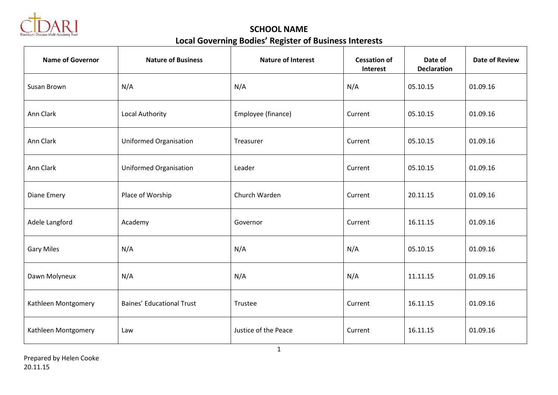

**SCHOOL NAME Local Governing Bodies' Register of Business Interests**

| <b>Name of Governor</b> | <b>Nature of Business</b>        | <b>Nature of Interest</b> | <b>Cessation of</b><br><b>Interest</b> | Date of<br><b>Declaration</b> | <b>Date of Review</b> |
|-------------------------|----------------------------------|---------------------------|----------------------------------------|-------------------------------|-----------------------|
| Susan Brown             | N/A                              | N/A                       | N/A                                    | 05.10.15                      | 01.09.16              |
| Ann Clark               | <b>Local Authority</b>           | Employee (finance)        | Current                                | 05.10.15                      | 01.09.16              |
| Ann Clark               | <b>Uniformed Organisation</b>    | Treasurer                 | Current                                | 05.10.15                      | 01.09.16              |
| Ann Clark               | <b>Uniformed Organisation</b>    | Leader                    | Current                                | 05.10.15                      | 01.09.16              |
| Diane Emery             | Place of Worship                 | Church Warden             | Current                                | 20.11.15                      | 01.09.16              |
| Adele Langford          | Academy                          | Governor                  | Current                                | 16.11.15                      | 01.09.16              |
| <b>Gary Miles</b>       | N/A                              | N/A                       | N/A                                    | 05.10.15                      | 01.09.16              |
| Dawn Molyneux           | N/A                              | N/A                       | N/A                                    | 11.11.15                      | 01.09.16              |
| Kathleen Montgomery     | <b>Baines' Educational Trust</b> | Trustee                   | Current                                | 16.11.15                      | 01.09.16              |
| Kathleen Montgomery     | Law                              | Justice of the Peace      | Current                                | 16.11.15                      | 01.09.16              |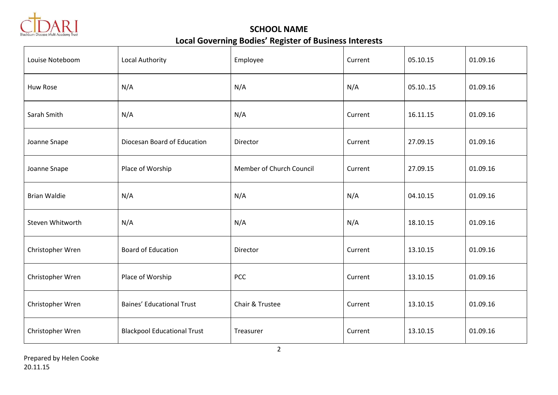

**SCHOOL NAME Local Governing Bodies' Register of Business Interests**

| Louise Noteboom     | <b>Local Authority</b>             | Employee                 | Current | 05.10.15 | 01.09.16 |
|---------------------|------------------------------------|--------------------------|---------|----------|----------|
| Huw Rose            | N/A                                | N/A                      | N/A     | 05.1015  | 01.09.16 |
| Sarah Smith         | N/A                                | N/A                      | Current | 16.11.15 | 01.09.16 |
| Joanne Snape        | Diocesan Board of Education        | Director                 | Current | 27.09.15 | 01.09.16 |
| Joanne Snape        | Place of Worship                   | Member of Church Council | Current | 27.09.15 | 01.09.16 |
| <b>Brian Waldie</b> | N/A                                | N/A                      | N/A     | 04.10.15 | 01.09.16 |
| Steven Whitworth    | N/A                                | N/A                      | N/A     | 18.10.15 | 01.09.16 |
| Christopher Wren    | <b>Board of Education</b>          | Director                 | Current | 13.10.15 | 01.09.16 |
| Christopher Wren    | Place of Worship                   | PCC                      | Current | 13.10.15 | 01.09.16 |
| Christopher Wren    | <b>Baines' Educational Trust</b>   | Chair & Trustee          | Current | 13.10.15 | 01.09.16 |
| Christopher Wren    | <b>Blackpool Educational Trust</b> | Treasurer                | Current | 13.10.15 | 01.09.16 |